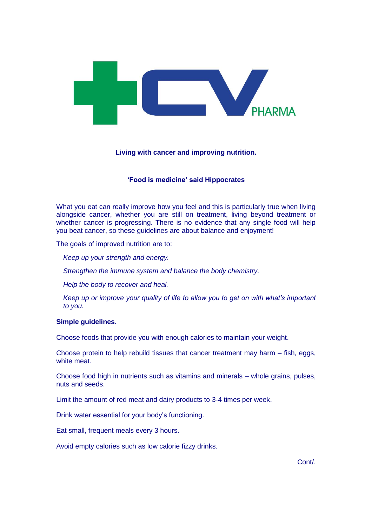

# **Living with cancer and improving nutrition.**

# **'Food is medicine' said Hippocrates**

What you eat can really improve how you feel and this is particularly true when living alongside cancer, whether you are still on treatment, living beyond treatment or whether cancer is progressing. There is no evidence that any single food will help you beat cancer, so these guidelines are about balance and enjoyment!

The goals of improved nutrition are to:

*Keep up your strength and energy.*

*Strengthen the [immune system](http://www.cancer.gov/Common/PopUps/popDefinition.aspx?id=46356&version=Patient&language=English) and balance the body chemistry.*

*Help the body to [recover](http://www.cancer.gov/Common/PopUps/popDefinition.aspx?id=454708&version=Patient&language=English) and heal.*

*Keep up or improve your [quality of life](http://www.cancer.gov/Common/PopUps/popDefinition.aspx?id=45417&version=Patient&language=English) to allow you to get on with what's important to you.*

### **Simple guidelines.**

Choose foods that provide you with enough calories to maintain your weight.

Choose protein to help rebuild tissues that cancer treatment may harm – fish, eggs, white meat.

Choose food high in nutrients such as vitamins and minerals – whole grains, pulses, nuts and seeds.

Limit the amount of red meat and dairy products to 3-4 times per week.

Drink water essential for your body's functioning.

Eat small, frequent meals every 3 hours.

Avoid empty calories such as low calorie fizzy drinks.

Cont/.